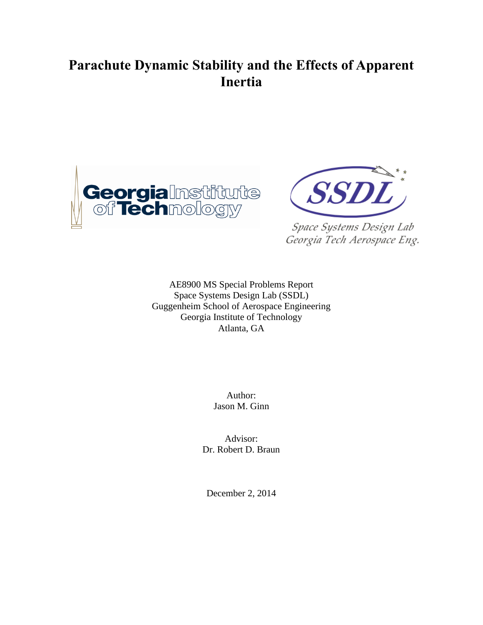# **Parachute Dynamic Stability and the Effects of Apparent Inertia**





Space Systems Design Lab Georgia Tech Aerospace Eng.

AE8900 MS Special Problems Report Space Systems Design Lab (SSDL) Guggenheim School of Aerospace Engineering Georgia Institute of Technology Atlanta, GA

> Author: Jason M. Ginn

Advisor: Dr. Robert D. Braun

December 2, 2014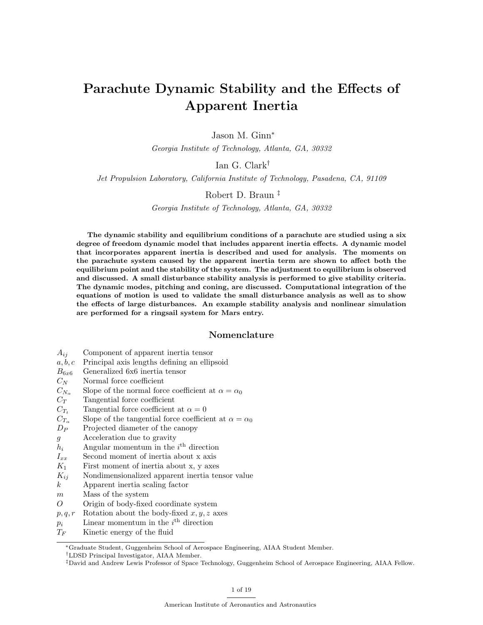# Parachute Dynamic Stability and the Effects of Apparent Inertia

Jason M. Ginn<sup>∗</sup>

Georgia Institute of Technology, Atlanta, GA, 30332

# Ian G. Clark†

Jet Propulsion Laboratory, California Institute of Technology, Pasadena, CA, 91109

# Robert D. Braun ‡

Georgia Institute of Technology, Atlanta, GA, 30332

The dynamic stability and equilibrium conditions of a parachute are studied using a six degree of freedom dynamic model that includes apparent inertia effects. A dynamic model that incorporates apparent inertia is described and used for analysis. The moments on the parachute system caused by the apparent inertia term are shown to affect both the equilibrium point and the stability of the system. The adjustment to equilibrium is observed and discussed. A small disturbance stability analysis is performed to give stability criteria. The dynamic modes, pitching and coning, are discussed. Computational integration of the equations of motion is used to validate the small disturbance analysis as well as to show the effects of large disturbances. An example stability analysis and nonlinear simulation are performed for a ringsail system for Mars entry.

### Nomenclature

- $A_{ij}$  Component of apparent inertia tensor
- $a, b, c$  Principal axis lengths defining an ellipsoid
- $B_{6x6}$  Generalized 6x6 inertia tensor
- 
- $C_N$  Normal force coefficient<br>  $C_{N_\alpha}$  Slope of the normal forc Slope of the normal force coefficient at  $\alpha = \alpha_0$
- $C_T$  Tangential force coefficient
- $C_{T_t}$  Tangential force coefficient at  $\alpha = 0$
- $C_{T_{\alpha}}$  Slope of the tangential force coefficient at  $\alpha = \alpha_0$
- $D_P$  Projected diameter of the canopy
- g Acceleration due to gravity
- $h_i$  Angular momentum in the  $i^{\text{th}}$  direction
- $I_{xx}$  Second moment of inertia about x axis
- $K_1$  First moment of inertia about x, y axes
- $K_{ij}$  Nondimensionalized apparent inertia tensor value
- k Apparent inertia scaling factor
- m Mass of the system
- O Origin of body-fixed coordinate system
- $p, q, r$  Rotation about the body-fixed  $x, y, z$  axes
- $p_i$  Linear momentum in the  $i^{\text{th}}$  direction
- $T_F$  Kinetic energy of the fluid

†LDSD Principal Investigator, AIAA Member.

<sup>∗</sup>Graduate Student, Guggenheim School of Aerospace Engineering, AIAA Student Member.

<sup>‡</sup>David and Andrew Lewis Professor of Space Technology, Guggenheim School of Aerospace Engineering, AIAA Fellow.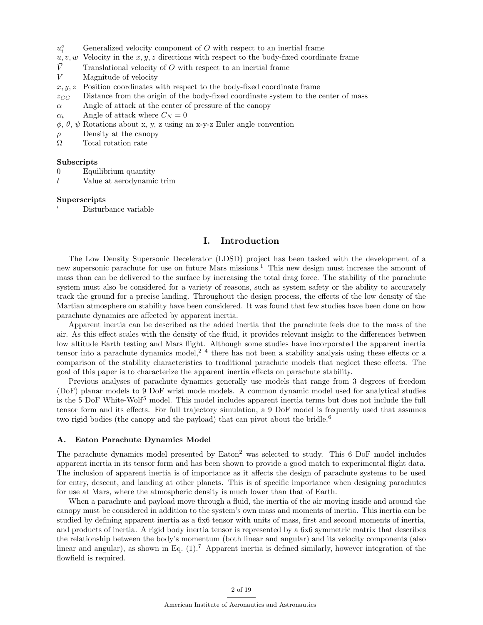- $u_i^o$ Generalized velocity component of  $O$  with respect to an inertial frame
- $u, v, w$  Velocity in the  $x, y, z$  directions with respect to the body-fixed coordinate frame
- $\vec{V}$  Translational velocity of O with respect to an inertial frame
- V Magnitude of velocity
- $x, y, z$  Position coordinates with respect to the body-fixed coordinate frame
- $z_{CG}$  Distance from the origin of the body-fixed coordinate system to the center of mass
- $\alpha$  Angle of attack at the center of pressure of the canopy
- $\alpha_t$  Angle of attack where  $C_N = 0$
- $\phi$ ,  $\theta$ ,  $\psi$  Rotations about x, y, z using an x-y-z Euler angle convention
- $\rho$  Density at the canopy
- Ω Total rotation rate

#### Subscripts

- 0 Equilibrium quantity
- t Value at aerodynamic trim

#### Superscripts

<sup>0</sup> Disturbance variable

## I. Introduction

The Low Density Supersonic Decelerator (LDSD) project has been tasked with the development of a new supersonic parachute for use on future Mars missions.<sup>1</sup> This new design must increase the amount of mass than can be delivered to the surface by increasing the total drag force. The stability of the parachute system must also be considered for a variety of reasons, such as system safety or the ability to accurately track the ground for a precise landing. Throughout the design process, the effects of the low density of the Martian atmosphere on stability have been considered. It was found that few studies have been done on how parachute dynamics are affected by apparent inertia.

Apparent inertia can be described as the added inertia that the parachute feels due to the mass of the air. As this effect scales with the density of the fluid, it provides relevant insight to the differences between low altitude Earth testing and Mars flight. Although some studies have incorporated the apparent inertia tensor into a parachute dynamics model,  $2-4$  there has not been a stability analysis using these effects or a comparison of the stability characteristics to traditional parachute models that neglect these effects. The goal of this paper is to characterize the apparent inertia effects on parachute stability.

Previous analyses of parachute dynamics generally use models that range from 3 degrees of freedom (DoF) planar models to 9 DoF wrist mode models. A common dynamic model used for analytical studies is the 5 DoF White-Wolf<sup>5</sup> model. This model includes apparent inertia terms but does not include the full tensor form and its effects. For full trajectory simulation, a 9 DoF model is frequently used that assumes two rigid bodies (the canopy and the payload) that can pivot about the bridle.<sup>6</sup>

#### A. Eaton Parachute Dynamics Model

The parachute dynamics model presented by Eaton<sup>2</sup> was selected to study. This 6 DoF model includes apparent inertia in its tensor form and has been shown to provide a good match to experimental flight data. The inclusion of apparent inertia is of importance as it affects the design of parachute systems to be used for entry, descent, and landing at other planets. This is of specific importance when designing parachutes for use at Mars, where the atmospheric density is much lower than that of Earth.

When a parachute and payload move through a fluid, the inertia of the air moving inside and around the canopy must be considered in addition to the system's own mass and moments of inertia. This inertia can be studied by defining apparent inertia as a 6x6 tensor with units of mass, first and second moments of inertia, and products of inertia. A rigid body inertia tensor is represented by a 6x6 symmetric matrix that describes the relationship between the body's momentum (both linear and angular) and its velocity components (also linear and angular), as shown in Eq.  $(1)$ .<sup>7</sup> Apparent inertia is defined similarly, however integration of the flowfield is required.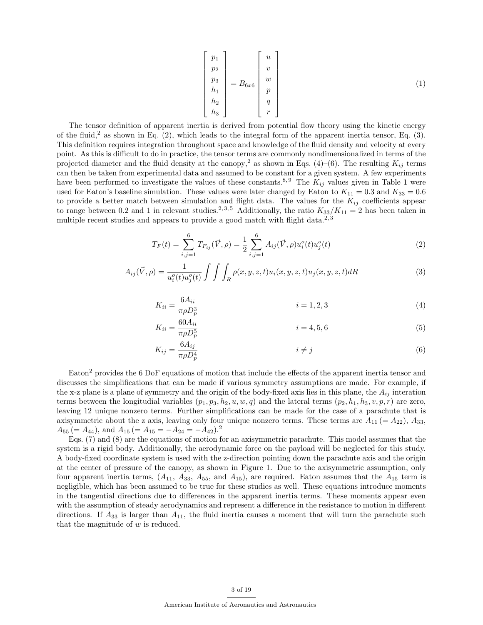$$
\begin{bmatrix} p_1 \\ p_2 \\ p_3 \\ h_1 \\ h_2 \\ h_3 \end{bmatrix} = B_{6x6} \begin{bmatrix} u \\ v \\ w \\ p \\ q \\ q \\ r \end{bmatrix}
$$
 (1)

The tensor definition of apparent inertia is derived from potential flow theory using the kinetic energy of the fluid,<sup>2</sup> as shown in Eq.  $(2)$ , which leads to the integral form of the apparent inertia tensor, Eq.  $(3)$ . This definition requires integration throughout space and knowledge of the fluid density and velocity at every point. As this is difficult to do in practice, the tensor terms are commonly nondimensionalized in terms of the projected diameter and the fluid density at the canopy,<sup>2</sup> as shown in Eqs. (4)–(6). The resulting  $K_{ij}$  terms can then be taken from experimental data and assumed to be constant for a given system. A few experiments have been performed to investigate the values of these constants.<sup>8, 9</sup> The  $K_{ij}$  values given in Table 1 were used for Eaton's baseline simulation. These values were later changed by Eaton to  $K_{11} = 0.3$  and  $K_{33} = 0.6$ to provide a better match between simulation and flight data. The values for the  $K_{ij}$  coefficients appear to range between 0.2 and 1 in relevant studies.<sup>2,3,5</sup> Additionally, the ratio  $K_{33}/K_{11} = 2$  has been taken in multiple recent studies and appears to provide a good match with flight data.<sup>2, 3</sup>

$$
T_F(t) = \sum_{i,j=1}^{6} T_{F_{ij}}(\vec{V}, \rho) = \frac{1}{2} \sum_{i,j=1}^{6} A_{ij}(\vec{V}, \rho) u_i^o(t) u_j^o(t)
$$
 (2)

$$
A_{ij}(\vec{V}, \rho) = \frac{1}{u_i^o(t)u_j^o(t)} \int \int \int_R \rho(x, y, z, t)u_i(x, y, z, t)u_j(x, y, z, t) dR
$$
\n(3)

$$
K_{ii} = \frac{6A_{ii}}{\pi \rho D_p^3}
$$
 (4)

$$
K_{ii} = \frac{60A_{ii}}{\pi \rho D_p^5}
$$
 (5)

$$
K_{ij} = \frac{6A_{ij}}{\pi \rho D_p^4} \qquad i \neq j \tag{6}
$$

Eaton<sup>2</sup> provides the 6 DoF equations of motion that include the effects of the apparent inertia tensor and discusses the simplifications that can be made if various symmetry assumptions are made. For example, if the x-z plane is a plane of symmetry and the origin of the body-fixed axis lies in this plane, the  $A_{ij}$  interation terms between the longitudial variables  $(p_1, p_3, h_2, u, w, q)$  and the lateral terms  $(p_2, h_1, h_3, v, p, r)$  are zero, leaving 12 unique nonzero terms. Further simplifications can be made for the case of a parachute that is axisymmetric about the z axis, leaving only four unique nonzero terms. These terms are  $A_{11} (= A_{22})$ ,  $A_{33}$ ,  $A_{55} (= A_{44}),$  and  $A_{15} (= A_{15} = -A_{24} = -A_{42}).^2$ 

Eqs. (7) and (8) are the equations of motion for an axisymmetric parachute. This model assumes that the system is a rigid body. Additionally, the aerodynamic force on the payload will be neglected for this study. A body-fixed coordinate system is used with the z-direction pointing down the parachute axis and the origin at the center of pressure of the canopy, as shown in Figure 1. Due to the axisymmetric assumption, only four apparent inertia terms,  $(A_{11}, A_{33}, A_{55}, \text{ and } A_{15})$ , are required. Eaton assumes that the  $A_{15}$  term is negligible, which has been assumed to be true for these studies as well. These equations introduce moments in the tangential directions due to differences in the apparent inertia terms. These moments appear even with the assumption of steady aerodynamics and represent a difference in the resistance to motion in different directions. If  $A_{33}$  is larger than  $A_{11}$ , the fluid inertia causes a moment that will turn the parachute such that the magnitude of  $w$  is reduced.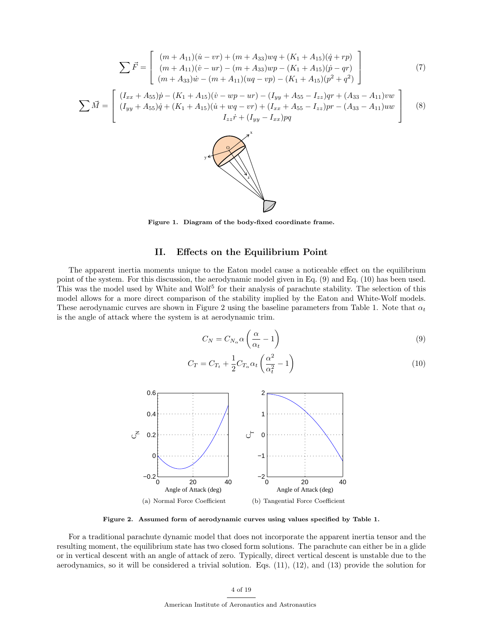$$
\sum \vec{F} = \begin{bmatrix} (m + A_{11})(\dot{u} - v\dot{r}) + (m + A_{33})w\dot{q} + (K_1 + A_{15})(\dot{q} + r\dot{r}) \\ (m + A_{11})(\dot{v} - u\dot{r}) - (m + A_{33})w\dot{p} - (K_1 + A_{15})(\dot{p} - q\dot{r}) \\ (m + A_{33})\dot{w} - (m + A_{11})(uq - v\dot{p}) - (K_1 + A_{15})(\dot{p}^2 + q^2) \end{bmatrix}
$$
(7)  

$$
\sum \vec{M} = \begin{bmatrix} (I_{xx} + A_{55})\dot{p} - (K_1 + A_{15})(\dot{v} - w\dot{p} - u\dot{r}) - (I_{yy} + A_{55} - I_{zz})\dot{q}\dot{r} + (A_{33} - A_{11})vw \\ (I_{yy} + A_{55})\dot{q} + (K_1 + A_{15})(\dot{u} + w\dot{q} - v\dot{r}) + (I_{xx} + A_{55} - I_{zz})\dot{p}\dot{r} - (A_{33} - A_{11})uw \\ I_{zz}\dot{r} + (I_{yy} - I_{xx})\dot{p}\dot{q} \end{bmatrix}
$$
(8)

Figure 1. Diagram of the body-fixed coordinate frame.

## II. Effects on the Equilibrium Point

The apparent inertia moments unique to the Eaton model cause a noticeable effect on the equilibrium point of the system. For this discussion, the aerodynamic model given in Eq. (9) and Eq. (10) has been used. This was the model used by White and Wolf<sup>5</sup> for their analysis of parachute stability. The selection of this model allows for a more direct comparison of the stability implied by the Eaton and White-Wolf models. These aerodynamic curves are shown in Figure 2 using the baseline parameters from Table 1. Note that  $\alpha_t$ is the angle of attack where the system is at aerodynamic trim.

$$
C_N = C_{N_\alpha} \alpha \left(\frac{\alpha}{\alpha_t} - 1\right) \tag{9}
$$

$$
C_T = C_{T_t} + \frac{1}{2} C_{T_\alpha} \alpha_t \left(\frac{\alpha^2}{\alpha_t^2} - 1\right)
$$
\n(10)



Figure 2. Assumed form of aerodynamic curves using values specified by Table 1.

For a traditional parachute dynamic model that does not incorporate the apparent inertia tensor and the resulting moment, the equilibrium state has two closed form solutions. The parachute can either be in a glide or in vertical descent with an angle of attack of zero. Typically, direct vertical descent is unstable due to the aerodynamics, so it will be considered a trivial solution. Eqs. (11), (12), and (13) provide the solution for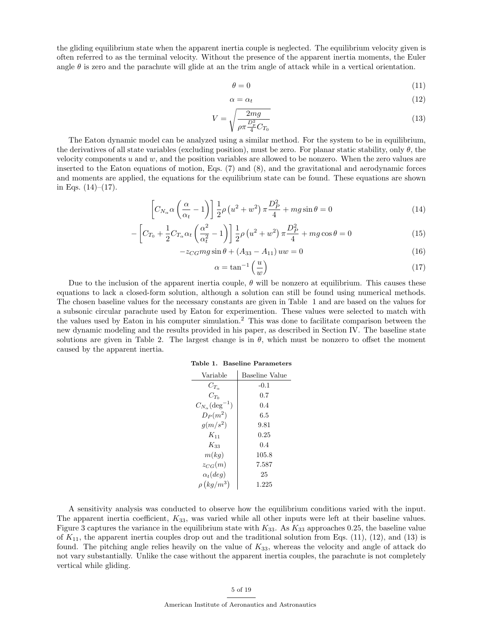the gliding equilibrium state when the apparent inertia couple is neglected. The equilibrium velocity given is often referred to as the terminal velocity. Without the presence of the apparent inertia moments, the Euler angle  $\theta$  is zero and the parachute will glide at an the trim angle of attack while in a vertical orientation.

$$
\theta = 0 \tag{11}
$$

$$
\alpha = \alpha_t \tag{12}
$$

$$
V = \sqrt{\frac{2mg}{\rho \pi \frac{D_p^2}{4} C_{T_0}}} \tag{13}
$$

The Eaton dynamic model can be analyzed using a similar method. For the system to be in equilibrium, the derivatives of all state variables (excluding position), must be zero. For planar static stability, only  $\theta$ , the velocity components  $u$  and  $w$ , and the position variables are allowed to be nonzero. When the zero values are inserted to the Eaton equations of motion, Eqs. (7) and (8), and the gravitational and aerodynamic forces and moments are applied, the equations for the equilibrium state can be found. These equations are shown in Eqs.  $(14)–(17)$ .

$$
\[C_{N_{\alpha}}\alpha\left(\frac{\alpha}{\alpha_{t}}-1\right)\] \frac{1}{2}\rho\left(u^{2}+w^{2}\right)\pi\frac{D_{P}^{2}}{4} + mg\sin\theta = 0\tag{14}
$$

$$
- \left[ C_{T_0} + \frac{1}{2} C_{T_\alpha} \alpha_t \left( \frac{\alpha^2}{\alpha_t^2} - 1 \right) \right] \frac{1}{2} \rho \left( u^2 + w^2 \right) \pi \frac{D_P^2}{4} + mg \cos \theta = 0 \tag{15}
$$

$$
-z_{CG}mg\sin\theta + (A_{33} - A_{11})uw = 0
$$
\n(16)

$$
\alpha = \tan^{-1}\left(\frac{u}{w}\right) \tag{17}
$$

Due to the inclusion of the apparent inertia couple,  $\theta$  will be nonzero at equilibrium. This causes these equations to lack a closed-form solution, although a solution can still be found using numerical methods. The chosen baseline values for the necessary constants are given in Table 1 and are based on the values for a subsonic circular parachute used by Eaton for experimention. These values were selected to match with the values used by Eaton in his computer simulation.<sup>2</sup> This was done to facilitate comparison between the new dynamic modeling and the results provided in his paper, as described in Section IV. The baseline state solutions are given in Table 2. The largest change is in  $\theta$ , which must be nonzero to offset the moment caused by the apparent inertia.

| Table 1. Baseline Parameters |  |
|------------------------------|--|
|                              |  |

| Variable                          | Baseline Value |
|-----------------------------------|----------------|
| $C_{T_{-}}$                       | $-0.1$         |
| $C_{T_0}$                         | 0.7            |
| $C_{N_{\alpha}}(\text{deg}^{-1})$ | 0.4            |
| $D_P(m^2)$                        | 6.5            |
| $g(m/s^2)$                        | 9.81           |
| $K_{11}$                          | 0.25           |
| $K_{33}$                          | 0.4            |
| m(kq)                             | 105.8          |
| $z_{CG}(m)$                       | 7.587          |
| $\alpha_t (deq)$                  | 25             |
| $\rho\left(kg/m^3\right)$         | 1.225          |

A sensitivity analysis was conducted to observe how the equilibrium conditions varied with the input. The apparent inertia coefficient,  $K_{33}$ , was varied while all other inputs were left at their baseline values. Figure 3 captures the variance in the equilibrium state with  $K_{33}$ . As  $K_{33}$  approaches 0.25, the baseline value of  $K_{11}$ , the apparent inertia couples drop out and the traditional solution from Eqs. (11), (12), and (13) is found. The pitching angle relies heavily on the value of  $K_{33}$ , whereas the velocity and angle of attack do not vary substantially. Unlike the case without the apparent inertia couples, the parachute is not completely vertical while gliding.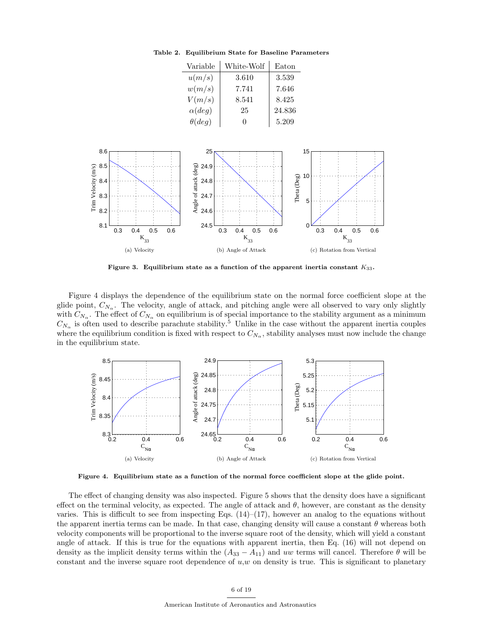| Variable       | White-Wolf | Eaton  |
|----------------|------------|--------|
| u(m/s)         | 3.610      | 3.539  |
| w(m/s)         | 7.741      | 7.646  |
| V(m/s)         | 8.541      | 8.425  |
| $\alpha(deg)$  | 25         | 24.836 |
| $\theta (deg)$ |            | 5.209  |

Table 2. Equilibrium State for Baseline Parameters



Figure 3. Equilibrium state as a function of the apparent inertia constant  $K_{33}$ .

Figure 4 displays the dependence of the equilibrium state on the normal force coefficient slope at the glide point,  $C_{N_{\alpha}}$ . The velocity, angle of attack, and pitching angle were all observed to vary only slightly with  $C_{N_\alpha}$ . The effect of  $C_{N_\alpha}$  on equilibrium is of special importance to the stability argument as a minimum  $C_{N_{\alpha}}$  is often used to describe parachute stability.<sup>5</sup> Unlike in the case without the apparent inertia couples where the equilibrium condition is fixed with respect to  $C_{N_\alpha}$ , stability analyses must now include the change in the equilibrium state.



Figure 4. Equilibrium state as a function of the normal force coefficient slope at the glide point.

The effect of changing density was also inspected. Figure 5 shows that the density does have a significant effect on the terminal velocity, as expected. The angle of attack and  $\theta$ , however, are constant as the density varies. This is difficult to see from inspecting Eqs.  $(14)$ – $(17)$ , however an analog to the equations without the apparent inertia terms can be made. In that case, changing density will cause a constant  $\theta$  whereas both velocity components will be proportional to the inverse square root of the density, which will yield a constant angle of attack. If this is true for the equations with apparent inertia, then Eq. (16) will not depend on density as the implicit density terms within the  $(A_{33} - A_{11})$  and uw terms will cancel. Therefore  $\theta$  will be constant and the inverse square root dependence of  $u, w$  on density is true. This is significant to planetary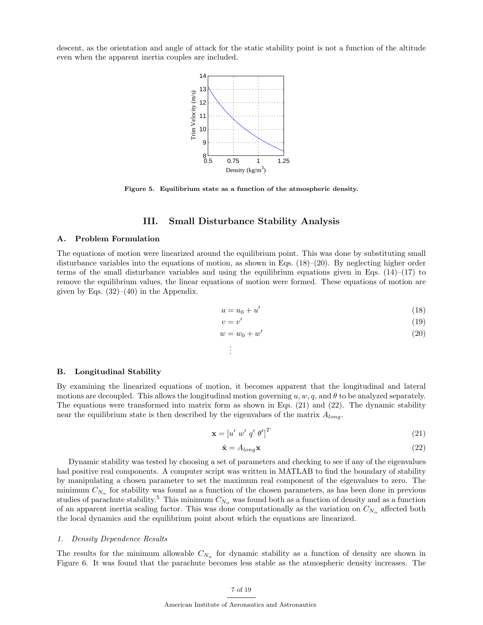descent, as the orientation and angle of attack for the static stability point is not a function of the altitude even when the apparent inertia couples are included.



Figure 5. Equilibrium state as a function of the atmospheric density.

## III. Small Disturbance Stability Analysis

### A. Problem Formulation

The equations of motion were linearized around the equilibrium point. This was done by substituting small disturbance variables into the equations of motion, as shown in Eqs.  $(18)–(20)$ . By neglecting higher order terms of the small disturbance variables and using the equilibrium equations given in Eqs.  $(14)$ – $(17)$  to remove the equilibrium values, the linear equations of motion were formed. These equations of motion are given by Eqs.  $(32)–(40)$  in the Appendix.

$$
u = u_0 + u'
$$
\n<sup>(18)</sup>

$$
=v'\tag{19}
$$

$$
w = w_0 + w'
$$
\n<sup>(20)</sup>

. . .

 $\upsilon$ 

#### B. Longitudinal Stability

By examining the linearized equations of motion, it becomes apparent that the longitudinal and lateral motions are decoupled. This allows the longitudinal motion governing u, w, q, and  $\theta$  to be analyzed separately. The equations were transformed into matrix form as shown in Eqs. (21) and (22). The dynamic stability near the equilibrium state is then described by the eigenvalues of the matrix  $A_{long}$ .

$$
\mathbf{x} = \begin{bmatrix} u' & w' & q' & \theta' \end{bmatrix}^T \tag{21}
$$

$$
\dot{\mathbf{x}} = A_{long} \mathbf{x} \tag{22}
$$

Dynamic stability was tested by choosing a set of parameters and checking to see if any of the eigenvalues had positive real components. A computer script was written in MATLAB to find the boundary of stability by manipulating a chosen parameter to set the maximum real component of the eigenvalues to zero. The minimum  $C_{N_\alpha}$  for stability was found as a function of the chosen parameters, as has been done in previous studies of parachute stability.<sup>5</sup> This minimum  $C_{N_\alpha}$  was found both as a function of density and as a function of an apparent inertia scaling factor. This was done computationally as the variation on  $C_{N_{\alpha}}$  affected both the local dynamics and the equilibrium point about which the equations are linearized.

#### 1. Density Dependence Results

The results for the minimum allowable  $C_{N_{\alpha}}$  for dynamic stability as a function of density are shown in Figure 6. It was found that the parachute becomes less stable as the atmospheric density increases. The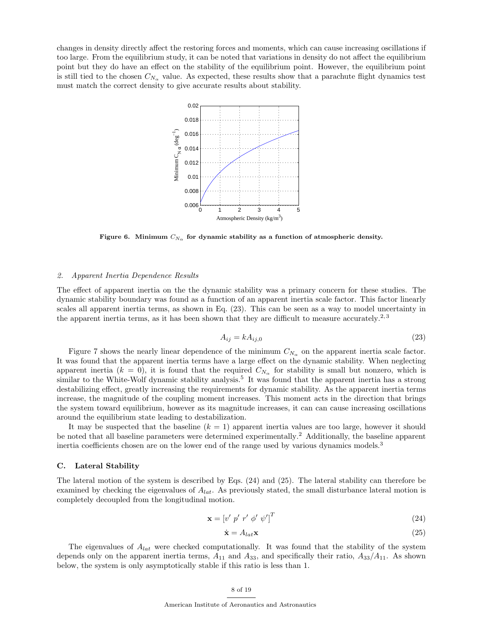changes in density directly affect the restoring forces and moments, which can cause increasing oscillations if too large. From the equilibrium study, it can be noted that variations in density do not affect the equilibrium point but they do have an effect on the stability of the equilibrium point. However, the equilibrium point is still tied to the chosen  $C_{N<sub>α</sub>}$  value. As expected, these results show that a parachute flight dynamics test must match the correct density to give accurate results about stability.



Figure 6. Minimum  $C_{N_\alpha}$  for dynamic stability as a function of atmospheric density.

#### 2. Apparent Inertia Dependence Results

The effect of apparent inertia on the the dynamic stability was a primary concern for these studies. The dynamic stability boundary was found as a function of an apparent inertia scale factor. This factor linearly scales all apparent inertia terms, as shown in Eq. (23). This can be seen as a way to model uncertainty in the apparent inertia terms, as it has been shown that they are difficult to measure accurately.<sup>2, 3</sup>

$$
A_{ij} = k A_{ij,0} \tag{23}
$$

Figure 7 shows the nearly linear dependence of the minimum  $C_{N_{\alpha}}$  on the apparent inertia scale factor. It was found that the apparent inertia terms have a large effect on the dynamic stability. When neglecting apparent inertia  $(k = 0)$ , it is found that the required  $C_{N_{\alpha}}$  for stability is small but nonzero, which is similar to the White-Wolf dynamic stability analysis.<sup>5</sup> It was found that the apparent inertia has a strong destabilizing effect, greatly increasing the requirements for dynamic stability. As the apparent inertia terms increase, the magnitude of the coupling moment increases. This moment acts in the direction that brings the system toward equilibrium, however as its magnitude increases, it can can cause increasing oscillations around the equilibrium state leading to destabilization.

It may be suspected that the baseline  $(k = 1)$  apparent inertia values are too large, however it should be noted that all baseline parameters were determined experimentally.<sup>2</sup> Additionally, the baseline apparent inertia coefficients chosen are on the lower end of the range used by various dynamics models.<sup>3</sup>

#### C. Lateral Stability

The lateral motion of the system is described by Eqs. (24) and (25). The lateral stability can therefore be examined by checking the eigenvalues of  $A_{lat}$ . As previously stated, the small disturbance lateral motion is completely decoupled from the longitudinal motion.

$$
\mathbf{x} = \left[ v' \ p' \ r' \ \phi' \ \psi' \right]^T \tag{24}
$$

$$
\dot{\mathbf{x}} = A_{lat} \mathbf{x} \tag{25}
$$

The eigenvalues of  $A_{lat}$  were checked computationally. It was found that the stability of the system depends only on the apparent inertia terms,  $A_{11}$  and  $A_{33}$ , and specifically their ratio,  $A_{33}/A_{11}$ . As shown below, the system is only asymptotically stable if this ratio is less than 1.

#### 8 of 19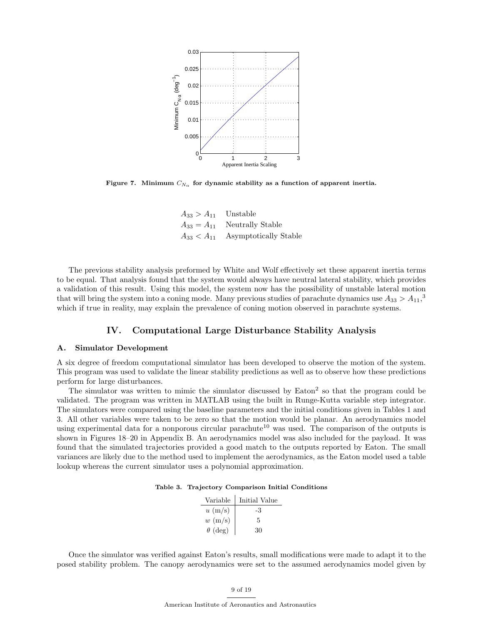

Figure 7. Minimum  $C_{N_\alpha}$  for dynamic stability as a function of apparent inertia.

| $A_{33} > A_{11}$ Unstable |                                         |
|----------------------------|-----------------------------------------|
|                            | $A_{33} = A_{11}$ Neutrally Stable      |
|                            | $A_{33} < A_{11}$ Asymptotically Stable |

The previous stability analysis preformed by White and Wolf effectively set these apparent inertia terms to be equal. That analysis found that the system would always have neutral lateral stability, which provides a validation of this result. Using this model, the system now has the possibility of unstable lateral motion that will bring the system into a coning mode. Many previous studies of parachute dynamics use  $A_{33} > A_{11}$ ,<sup>3</sup> which if true in reality, may explain the prevalence of coning motion observed in parachute systems.

## IV. Computational Large Disturbance Stability Analysis

#### A. Simulator Development

A six degree of freedom computational simulator has been developed to observe the motion of the system. This program was used to validate the linear stability predictions as well as to observe how these predictions perform for large disturbances.

The simulator was written to mimic the simulator discussed by Eaton<sup>2</sup> so that the program could be validated. The program was written in MATLAB using the built in Runge-Kutta variable step integrator. The simulators were compared using the baseline parameters and the initial conditions given in Tables 1 and 3. All other variables were taken to be zero so that the motion would be planar. An aerodynamics model using experimental data for a nonporous circular parachute<sup>10</sup> was used. The comparison of the outputs is shown in Figures 18–20 in Appendix B. An aerodynamics model was also included for the payload. It was found that the simulated trajectories provided a good match to the outputs reported by Eaton. The small variances are likely due to the method used to implement the aerodynamics, as the Eaton model used a table lookup whereas the current simulator uses a polynomial approximation.

| Table 3. Trajectory Comparison Initial Conditions |  |  |  |
|---------------------------------------------------|--|--|--|
|---------------------------------------------------|--|--|--|

| Initial Value |
|---------------|
| -3            |
| 5             |
| 30            |
|               |

Once the simulator was verified against Eaton's results, small modifications were made to adapt it to the posed stability problem. The canopy aerodynamics were set to the assumed aerodynamics model given by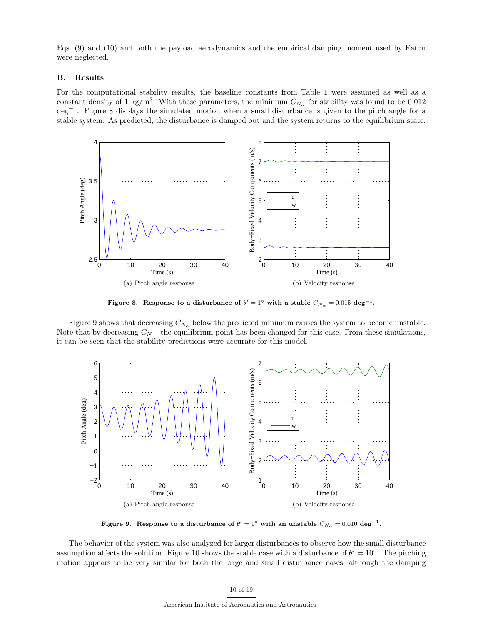Eqs. (9) and (10) and both the payload aerodynamics and the empirical damping moment used by Eaton were neglected.

## B. Results

For the computational stability results, the baseline constants from Table 1 were assumed as well as a constant density of 1 kg/m<sup>3</sup>. With these parameters, the minimum  $C_{N_{\alpha}}$  for stability was found to be 0.012 deg−<sup>1</sup> . Figure 8 displays the simulated motion when a small disturbance is given to the pitch angle for a stable system. As predicted, the disturbance is damped out and the system returns to the equilibrium state.



Figure 8. Response to a disturbance of  $\theta'=1^{\circ}$  with a stable  $C_{N_{\alpha}}=0.015\,\deg^{-1}$ .

Figure 9 shows that decreasing  $C_{N_\alpha}$  below the predicted minimum causes the system to become unstable. Note that by decreasing  $C_{N_\alpha}$ , the equilibrium point has been changed for this case. From these simulations, it can be seen that the stability predictions were accurate for this model.



Figure 9. Response to a disturbance of  $\theta'=1^\circ$  with an unstable  $C_{N_\alpha}=0.010\,\deg^{-1}.$ 

The behavior of the system was also analyzed for larger disturbances to observe how the small disturbance assumption affects the solution. Figure 10 shows the stable case with a disturbance of  $\theta' = 10^{\circ}$ . The pitching motion appears to be very similar for both the large and small disturbance cases, although the damping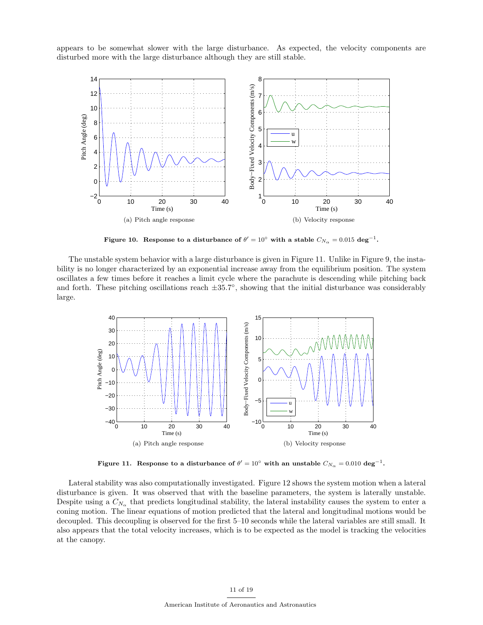appears to be somewhat slower with the large disturbance. As expected, the velocity components are disturbed more with the large disturbance although they are still stable.



Figure 10. Response to a disturbance of  $\theta'=10^\circ$  with a stable  $C_{N_\alpha}=0.015\,\deg^{-1}$ .

The unstable system behavior with a large disturbance is given in Figure 11. Unlike in Figure 9, the instability is no longer characterized by an exponential increase away from the equilibrium position. The system oscillates a few times before it reaches a limit cycle where the parachute is descending while pitching back and forth. These pitching oscillations reach  $\pm 35.7^{\circ}$ , showing that the initial disturbance was considerably large.



Figure 11. Response to a disturbance of  $\theta' = 10^{\circ}$  with an unstable  $C_{N_{\alpha}} = 0.010 \text{ deg}^{-1}$ .

Lateral stability was also computationally investigated. Figure 12 shows the system motion when a lateral disturbance is given. It was observed that with the baseline parameters, the system is laterally unstable. Despite using a  $C_{N_\alpha}$  that predicts longitudinal stability, the lateral instability causes the system to enter a coning motion. The linear equations of motion predicted that the lateral and longitudinal motions would be decoupled. This decoupling is observed for the first 5–10 seconds while the lateral variables are still small. It also appears that the total velocity increases, which is to be expected as the model is tracking the velocities at the canopy.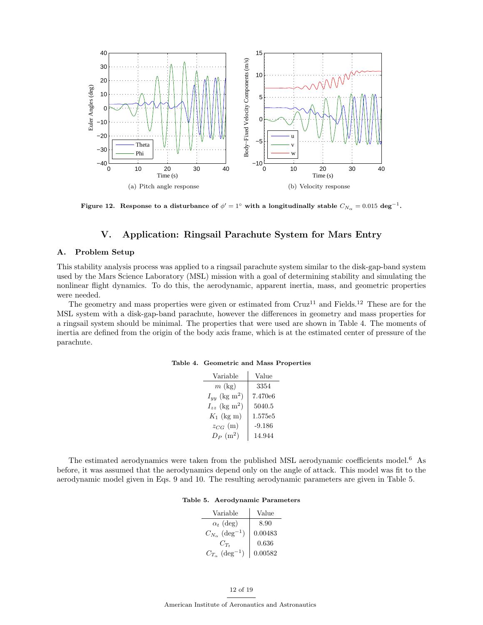

Figure 12. Response to a disturbance of  $\phi'=1^\circ$  with a longitudinally stable  $C_{N_\alpha}=0.015\,\deg^{-1}$ .

## V. Application: Ringsail Parachute System for Mars Entry

### A. Problem Setup

This stability analysis process was applied to a ringsail parachute system similar to the disk-gap-band system used by the Mars Science Laboratory (MSL) mission with a goal of determining stability and simulating the nonlinear flight dynamics. To do this, the aerodynamic, apparent inertia, mass, and geometric properties were needed.

The geometry and mass properties were given or estimated from  $Cruz^{11}$  and Fields.<sup>12</sup> These are for the MSL system with a disk-gap-band parachute, however the differences in geometry and mass properties for a ringsail system should be minimal. The properties that were used are shown in Table 4. The moments of inertia are defined from the origin of the body axis frame, which is at the estimated center of pressure of the parachute.

| Variable                      | Value    |
|-------------------------------|----------|
| $m \;$ (kg)                   | 3354     |
| $I_{yy}$ (kg m <sup>2</sup> ) | 7.470e6  |
| $I_{zz}$ (kg m <sup>2</sup> ) | 5040.5   |
| $K_1$ (kg m)                  | 1.575e5  |
| $z_{CG}$ (m)                  | $-9.186$ |
| $D_P(m^2)$                    | 14.944   |

Table 4. Geometric and Mass Properties

The estimated aerodynamics were taken from the published MSL aerodynamic coefficients model.<sup>6</sup> As before, it was assumed that the aerodynamics depend only on the angle of attack. This model was fit to the aerodynamic model given in Eqs. 9 and 10. The resulting aerodynamic parameters are given in Table 5.

| Variable                              | Value   |
|---------------------------------------|---------|
| $\alpha_t$ (deg)                      | 8.90    |
| $C_{N_{\alpha}}$ (deg <sup>-1</sup> ) | 0.00483 |
| $C_{T_{\ast}}$                        | 0.636   |
| $C_{T_{\alpha}}$ (deg <sup>-1</sup> ) | 0.00582 |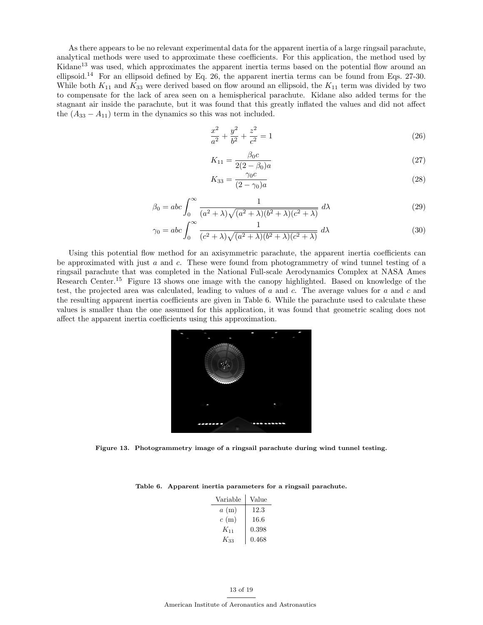As there appears to be no relevant experimental data for the apparent inertia of a large ringsail parachute, analytical methods were used to approximate these coefficients. For this application, the method used by Kidane<sup>13</sup> was used, which approximates the apparent inertia terms based on the potential flow around an ellipsoid.<sup>14</sup> For an ellipsoid defined by Eq. 26, the apparent inertia terms can be found from Eqs. 27-30. While both  $K_{11}$  and  $K_{33}$  were derived based on flow around an ellipsoid, the  $K_{11}$  term was divided by two to compensate for the lack of area seen on a hemispherical parachute. Kidane also added terms for the stagnant air inside the parachute, but it was found that this greatly inflated the values and did not affect the  $(A_{33} - A_{11})$  term in the dynamics so this was not included.

$$
\frac{x^2}{a^2} + \frac{y^2}{b^2} + \frac{z^2}{c^2} = 1\tag{26}
$$

$$
K_{11} = \frac{\beta_0 c}{2(2 - \beta_0)a} \tag{27}
$$

$$
K_{33} = \frac{\gamma_0 c}{(2 - \gamma_0)a} \tag{28}
$$

$$
\beta_0 = abc \int_0^\infty \frac{1}{(a^2 + \lambda)\sqrt{(a^2 + \lambda)(b^2 + \lambda)(c^2 + \lambda)}} d\lambda \tag{29}
$$

$$
\gamma_0 = abc \int_0^\infty \frac{1}{(c^2 + \lambda)\sqrt{(a^2 + \lambda)(b^2 + \lambda)(c^2 + \lambda)}} d\lambda \tag{30}
$$

Using this potential flow method for an axisymmetric parachute, the apparent inertia coefficients can be approximated with just  $a$  and  $c$ . These were found from photogrammetry of wind tunnel testing of a ringsail parachute that was completed in the National Full-scale Aerodynamics Complex at NASA Ames Research Center.<sup>15</sup> Figure 13 shows one image with the canopy highlighted. Based on knowledge of the test, the projected area was calculated, leading to values of  $a$  and  $c$ . The average values for  $a$  and  $c$  and the resulting apparent inertia coefficients are given in Table 6. While the parachute used to calculate these values is smaller than the one assumed for this application, it was found that geometric scaling does not affect the apparent inertia coefficients using this approximation.



Figure 13. Photogrammetry image of a ringsail parachute during wind tunnel testing.

|  |  |  | Table 6. Apparent inertia parameters for a ringsail parachute. |  |  |  |  |
|--|--|--|----------------------------------------------------------------|--|--|--|--|
|--|--|--|----------------------------------------------------------------|--|--|--|--|

| Variable | Value    |
|----------|----------|
| a(m)     | 12.3     |
| c(m)     | $16.6\,$ |
| $K_{11}$ | 0.398    |
| $K_{33}$ | 0.468    |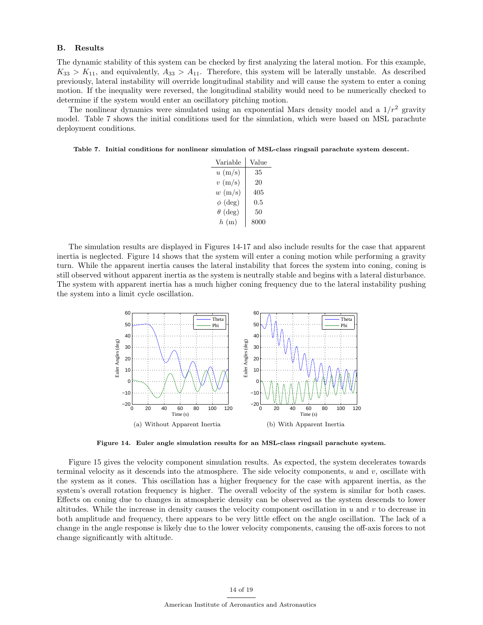#### B. Results

The dynamic stability of this system can be checked by first analyzing the lateral motion. For this example,  $K_{33} > K_{11}$ , and equivalently,  $A_{33} > A_{11}$ . Therefore, this system will be laterally unstable. As described previously, lateral instability will override longitudinal stability and will cause the system to enter a coning motion. If the inequality were reversed, the longitudinal stability would need to be numerically checked to determine if the system would enter an oscillatory pitching motion.

The nonlinear dynamics were simulated using an exponential Mars density model and a  $1/r^2$  gravity model. Table 7 shows the initial conditions used for the simulation, which were based on MSL parachute deployment conditions.

Table 7. Initial conditions for nonlinear simulation of MSL-class ringsail parachute system descent.

| Variable          | Value   |
|-------------------|---------|
| $u \text{ (m/s)}$ | 35      |
| $v \text{ (m/s)}$ | 20      |
| $w \text{ (m/s)}$ | 405     |
| $\phi$ (deg)      | $0.5\,$ |
| $\theta$ (deg)    | 50      |
| h(m)              | 8000    |

The simulation results are displayed in Figures 14-17 and also include results for the case that apparent inertia is neglected. Figure 14 shows that the system will enter a coning motion while performing a gravity turn. While the apparent inertia causes the lateral instability that forces the system into coning, coning is still observed without apparent inertia as the system is neutrally stable and begins with a lateral disturbance. The system with apparent inertia has a much higher coning frequency due to the lateral instability pushing the system into a limit cycle oscillation.



Figure 14. Euler angle simulation results for an MSL-class ringsail parachute system.

Figure 15 gives the velocity component simulation results. As expected, the system decelerates towards terminal velocity as it descends into the atmosphere. The side velocity components,  $u$  and  $v$ , oscillate with the system as it cones. This oscillation has a higher frequency for the case with apparent inertia, as the system's overall rotation frequency is higher. The overall velocity of the system is similar for both cases. Effects on coning due to changes in atmospheric density can be observed as the system descends to lower altitudes. While the increase in density causes the velocity component oscillation in  $u$  and  $v$  to decrease in both amplitude and frequency, there appears to be very little effect on the angle oscillation. The lack of a change in the angle response is likely due to the lower velocity components, causing the off-axis forces to not change significantly with altitude.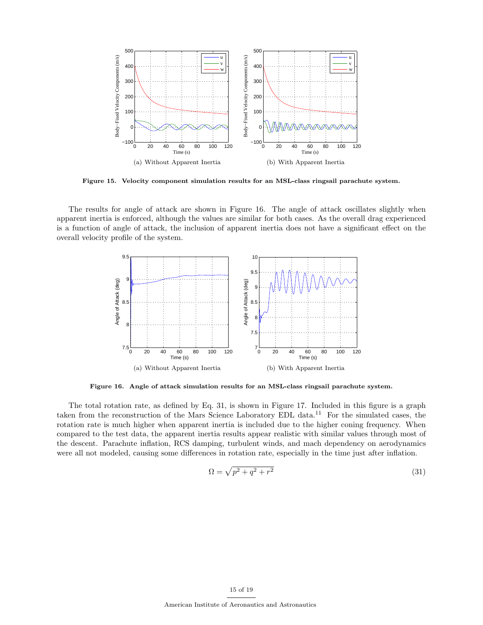

Figure 15. Velocity component simulation results for an MSL-class ringsail parachute system.

The results for angle of attack are shown in Figure 16. The angle of attack oscillates slightly when apparent inertia is enforced, although the values are similar for both cases. As the overall drag experienced is a function of angle of attack, the inclusion of apparent inertia does not have a significant effect on the overall velocity profile of the system.



Figure 16. Angle of attack simulation results for an MSL-class ringsail parachute system.

The total rotation rate, as defined by Eq. 31, is shown in Figure 17. Included in this figure is a graph taken from the reconstruction of the Mars Science Laboratory EDL data.<sup>11</sup> For the simulated cases, the rotation rate is much higher when apparent inertia is included due to the higher coning frequency. When compared to the test data, the apparent inertia results appear realistic with similar values through most of the descent. Parachute inflation, RCS damping, turbulent winds, and mach dependency on aerodynamics were all not modeled, causing some differences in rotation rate, especially in the time just after inflation.

$$
\Omega = \sqrt{p^2 + q^2 + r^2} \tag{31}
$$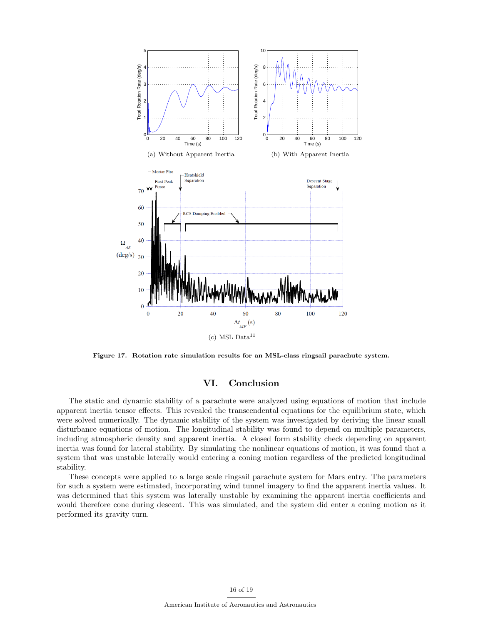

Figure 17. Rotation rate simulation results for an MSL-class ringsail parachute system.

## VI. Conclusion

The static and dynamic stability of a parachute were analyzed using equations of motion that include apparent inertia tensor effects. This revealed the transcendental equations for the equilibrium state, which were solved numerically. The dynamic stability of the system was investigated by deriving the linear small disturbance equations of motion. The longitudinal stability was found to depend on multiple parameters, including atmospheric density and apparent inertia. A closed form stability check depending on apparent inertia was found for lateral stability. By simulating the nonlinear equations of motion, it was found that a system that was unstable laterally would entering a coning motion regardless of the predicted longitudinal stability.

These concepts were applied to a large scale ringsail parachute system for Mars entry. The parameters for such a system were estimated, incorporating wind tunnel imagery to find the apparent inertia values. It was determined that this system was laterally unstable by examining the apparent inertia coefficients and would therefore cone during descent. This was simulated, and the system did enter a coning motion as it performed its gravity turn.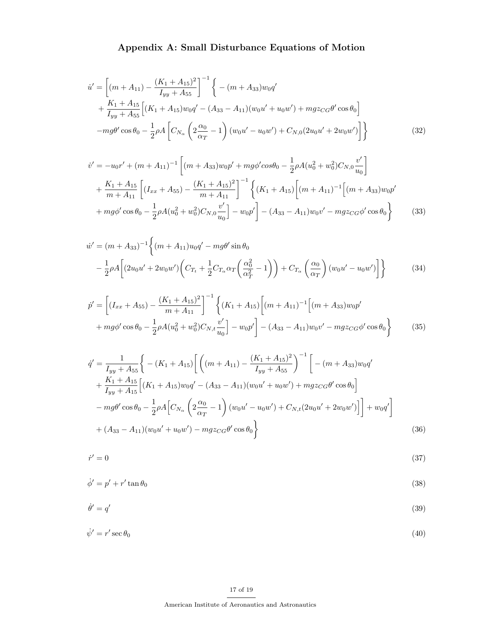# Appendix A: Small Disturbance Equations of Motion

$$
\dot{u}' = \left[ (m + A_{11}) - \frac{(K_1 + A_{15})^2}{I_{yy} + A_{55}} \right]^{-1} \left\{ -(m + A_{33})w_0 q' + \frac{K_1 + A_{15}}{I_{yy} + A_{55}} \left[ (K_1 + A_{15})w_0 q' - (A_{33} - A_{11})(w_0 u' + u_0 w') + mgz_{CG} \theta' \cos \theta_0 \right] \right.\n-mg\theta' \cos \theta_0 - \frac{1}{2} \rho A \left[ C_{N_\alpha} \left( 2 \frac{\alpha_0}{\alpha_T} - 1 \right) (w_0 u' - u_0 w') + C_{N,0} (2u_0 u' + 2w_0 w') \right] \right\}
$$
\n(32)

$$
\dot{v}' = -u_0 r' + (m + A_{11})^{-1} \left[ (m + A_{33}) w_0 p' + mg \phi' \cos \theta_0 - \frac{1}{2} \rho A (u_0^2 + w_0^2) C_{N,0} \frac{v'}{u_0} \right] \n+ \frac{K_1 + A_{15}}{m + A_{11}} \left[ (I_{xx} + A_{55}) - \frac{(K_1 + A_{15})^2}{m + A_{11}} \right]^{-1} \left\{ (K_1 + A_{15}) \left[ (m + A_{11})^{-1} \left[ (m + A_{33}) w_0 p' + mg \phi' \cos \theta_0 - \frac{1}{2} \rho A (u_0^2 + w_0^2) C_{N,0} \frac{v'}{u_0} \right] - u_0 p' \right] - (A_{33} - A_{11}) w_0 v' - mg z_{CG} \phi' \cos \theta_0 \right\}
$$
\n(33)

$$
\dot{w}' = (m + A_{33})^{-1} \left\{ (m + A_{11}) u_0 q' - mg\theta' \sin \theta_0 \right\}
$$
  

$$
- \frac{1}{2} \rho A \left[ (2u_0 u' + 2w_0 w') \left( C_{T_t} + \frac{1}{2} C_{T_\alpha} \alpha_T \left( \frac{\alpha_0^2}{\alpha_T^2} - 1 \right) \right) + C_{T_\alpha} \left( \frac{\alpha_0}{\alpha_T} \right) (w_0 u' - u_0 w') \right] \right\}
$$
(34)

$$
\dot{p}' = \left[ (I_{xx} + A_{55}) - \frac{(K_1 + A_{15})^2}{m + A_{11}} \right]^{-1} \left\{ (K_1 + A_{15}) \left[ (m + A_{11})^{-1} \left[ (m + A_{33}) w_0 p' + mg\phi' \cos \theta_0 - \frac{1}{2} \rho A (u_0^2 + w_0^2) C_{N,t} \frac{v'}{u_0} \right] - (A_{33} - A_{11}) w_0 v' - mgz_{CG} \phi' \cos \theta_0 \right\} \tag{35}
$$

$$
\dot{q}' = \frac{1}{I_{yy} + A_{55}} \Bigg\{ -(K_1 + A_{15}) \Bigg[ \Big( (m + A_{11}) - \frac{(K_1 + A_{15})^2}{I_{yy} + A_{55}} \Bigg)^{-1} \Bigg[ -(m + A_{33}) w_0 q' \n+ \frac{K_1 + A_{15}}{I_{yy} + A_{15}} \Bigg[ (K_1 + A_{15}) w_0 q' - (A_{33} - A_{11}) (w_0 u' + u_0 w') + m g z_{CG} \theta' \cos \theta_0 \Bigg] \n- m g \theta' \cos \theta_0 - \frac{1}{2} \rho A \Big[ C_{N_\alpha} \Big( 2 \frac{\alpha_0}{\alpha_T} - 1 \Big) (w_0 u' - u_0 w') + C_{N,t} (2 u_0 u' + 2 w_0 w') \Big] \Bigg] + w_0 q' \Bigg] \n+ (A_{33} - A_{11}) (w_0 u' + u_0 w') - m g z_{CG} \theta' \cos \theta_0 \Bigg\}
$$
\n(36)

$$
\dot{r}' = 0 \tag{37}
$$

$$
\dot{\phi}' = p' + r' \tan \theta_0 \tag{38}
$$

$$
\dot{\theta}' = q' \tag{39}
$$

$$
\dot{\psi}' = r' \sec \theta_0 \tag{40}
$$

## 17 of 19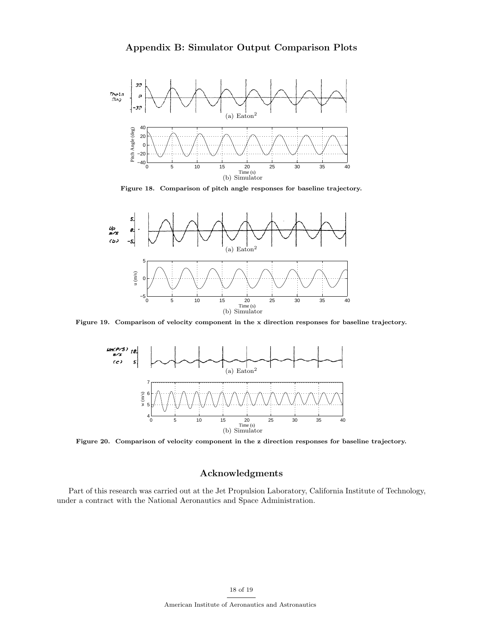

Figure 18. Comparison of pitch angle responses for baseline trajectory.



Figure 19. Comparison of velocity component in the x direction responses for baseline trajectory.



Figure 20. Comparison of velocity component in the z direction responses for baseline trajectory.

## Acknowledgments

Part of this research was carried out at the Jet Propulsion Laboratory, California Institute of Technology, under a contract with the National Aeronautics and Space Administration.